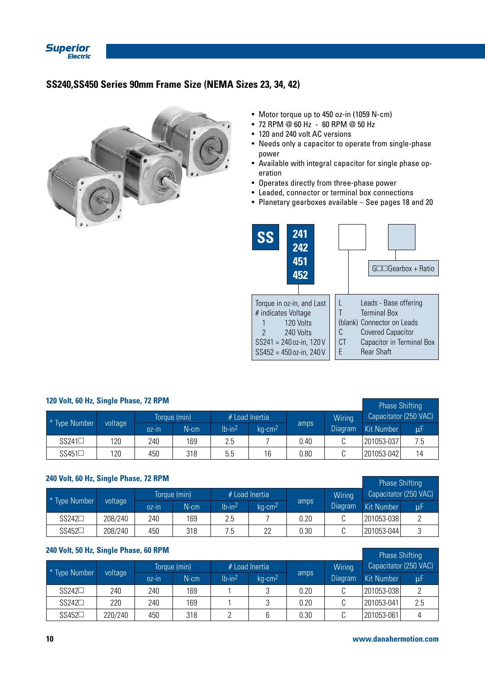

# **SS240,SS450 Series 90mm Frame Size (NEMA Sizes 23, 34, 42)**



- Motor torque up to 450 oz-in (1059 N-cm)
- 72 RPM @ 60 Hz 60 RPM @ 50 Hz
- 120 and 240 volt AC versions
- Needs only a capacitor to operate from single-phase power
- Available with integral capacitor for single phase operation
- Operates directly from three-phase power
- Leaded, connector or terminal box connections
- Planetary gearboxes available See pages 18 and 20



| 120 Volt, 60 Hz, Single Phase, 72 RPM | <b>Phase Shifting</b> |          |         |                       |                       |      |                |                       |      |
|---------------------------------------|-----------------------|----------|---------|-----------------------|-----------------------|------|----------------|-----------------------|------|
|                                       | Torque (min)          |          |         | # Load Inertia        |                       |      | Wiring         | Capacitator (250 VAC) |      |
| * Type Number                         | voltage               | $OZ$ -IN | $N$ -cm | $lb$ -in <sup>2</sup> | $kg$ -cm <sup>2</sup> | amps | <b>Diagram</b> | Kit Number            | luF. |
| $SS241\Box$                           | 120                   | 240      | 169     | 2.5                   |                       | 0.40 |                | 201053-037            | 7.5  |
| $SS451\square$                        | 120                   | 450      | 318     | 5.5                   | 16                    | 0.80 |                | 201053-042            | 14   |

# **240 Volt, 60 Hz, Single Phase, 72 RPM**

|                |         | <b>Priase Shilting</b> |              |          |                       |      |         |            |                       |
|----------------|---------|------------------------|--------------|----------|-----------------------|------|---------|------------|-----------------------|
| * Type Number  |         |                        | Torque (min) |          | $#$ Load Inertia      |      | Wiring  |            | Capacitator (250 VAC) |
|                | voltage | $OZ-In$                | $N$ -cm      | $Ib-in2$ | $kq$ -cm <sup>2</sup> | amps | Diagram | Kit Number | uF                    |
| $SS242\Box$    | 208/240 | 240                    | 169          | 2.5      |                       | 0.20 |         | 201053-038 |                       |
| $SS452\square$ | 208/240 | 450                    | 318          | .ხ       | 22                    | 0.30 |         | 201053-044 |                       |

## **240 Volt, 50 Hz, Single Phase, 60 RPM**

|                |         | <b>THOSE OFFICITILY</b> |              |                       |                       |      |                |            |                       |
|----------------|---------|-------------------------|--------------|-----------------------|-----------------------|------|----------------|------------|-----------------------|
| * Type Number  |         |                         | Torque (min) |                       | $#$ Load Inertia      |      | Wiring         |            | Capacitator (250 VAC) |
|                | voltage | $0z$ -In                | N-cm         | $lb$ -in <sup>2</sup> | $kg$ -cm <sup>2</sup> | amps | <b>Diagram</b> | Kit Number | μF.                   |
| $SS242\square$ | 240     | 240                     | 169          |                       |                       | 0.20 |                | 201053-038 |                       |
| $SS242\Box$    | 220     | 240                     | 169          |                       |                       | 0.20 |                | 201053-041 | 2.5                   |
| $SS452\square$ | 220/240 | 450                     | 318          |                       |                       | 0.30 |                | 201053-061 |                       |

Phase Shifting

Phase Shifting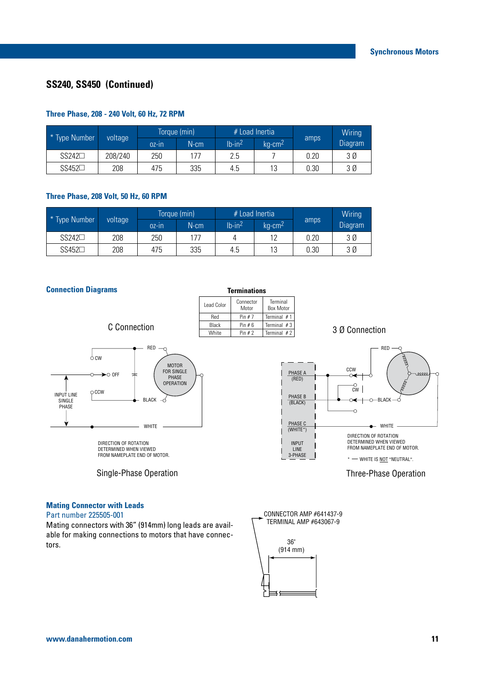# **SS240, SS450 (Continued)**

## **Three Phase, 208 - 240 Volt, 60 Hz, 72 RPM**

| * Type Number  |         | Torque (min) |         |                       | $#$ Load Inertia |      | Wiring  |
|----------------|---------|--------------|---------|-----------------------|------------------|------|---------|
|                | voltage | $0z$ -In     | $N$ -cm | $lb$ -in <sup>2</sup> | $\text{ka-cm}^2$ | amps | Diagram |
| $SS242\Box$    | 208/240 | 250          | 177     | 2.5                   |                  | 0.20 | 3 Ø     |
| $SS452\square$ | 208     | 475          | 335     | 4.5                   | 13               | 0.30 | 3 Ø     |

#### **Three Phase, 208 Volt, 50 Hz, 60 RPM**

| * Type Number |         |          | Torque (min) | $#$ Load Inertia      |                       |      | Wiring  |
|---------------|---------|----------|--------------|-----------------------|-----------------------|------|---------|
|               | voltage | $OZ$ -IN | N-cm         | $lb$ -in <sup>2</sup> | $ka$ -cm <sup>2</sup> | amps | Diagram |
| $SS242\Box$   | 208     | 250      | 177          |                       | 17                    | 0.20 | 3 Ø     |
| $SS452\Box$   | 208     | 475      | 335          | 4.5                   | 13                    | 0.30 | 3 Ø     |

#### **Connection Diagrams**

| <b>Terminations</b> |                    |                              |  |  |  |  |  |  |  |  |  |
|---------------------|--------------------|------------------------------|--|--|--|--|--|--|--|--|--|
| <b>Lead Color</b>   | Connector<br>Motor | Terminal<br><b>Box Motor</b> |  |  |  |  |  |  |  |  |  |
| Red                 | Pin $# 7$          | Terminal $#1$                |  |  |  |  |  |  |  |  |  |
| Black               | Pin#6              | Terminal $#3$                |  |  |  |  |  |  |  |  |  |
| <b>White</b>        | Pin $# 2$          | Terminal $#2$                |  |  |  |  |  |  |  |  |  |

3 Ø Connection



C Connection

DIRECTION OF ROTATION DETERMINED WHEN VIEWED FROM NAMEPLATE END OF MOTOR.

Single-Phase Operation



Three-Phase Operation

# **Mating Connector with Leads**

#### Part number 225505-001

Mating connectors with 36" (914mm) long leads are available for making connections to motors that have connectors.

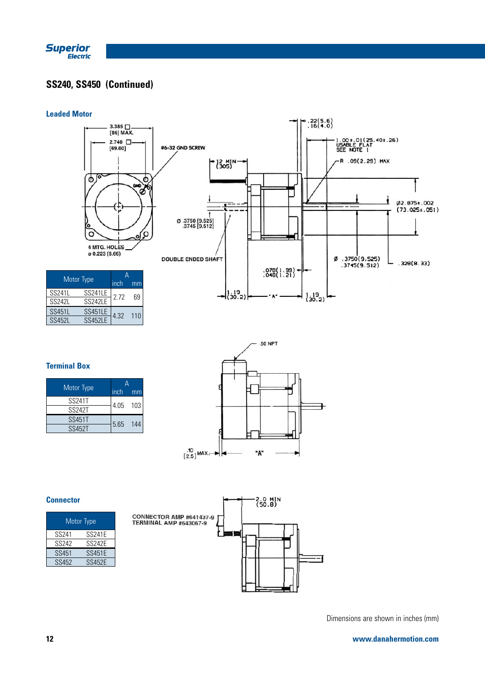

# **SS240, SS450 (Continued)**

#### **Leaded Motor**



### **Terminal Box**

| Motor Type    | inch     | mm  |  |  |
|---------------|----------|-----|--|--|
| <b>SS241T</b> | 4.05 103 |     |  |  |
| <b>SS242T</b> |          |     |  |  |
| <b>SS451T</b> | 5.65     | 144 |  |  |
| SS452T        |          |     |  |  |



#### **Connector**

| Motor Type        |               |  |  |  |  |  |  |  |
|-------------------|---------------|--|--|--|--|--|--|--|
| SS <sub>241</sub> | <b>SS241F</b> |  |  |  |  |  |  |  |
| SS <sub>242</sub> | <b>SS242E</b> |  |  |  |  |  |  |  |
| SS451             | <b>SS451E</b> |  |  |  |  |  |  |  |
| SS452             | <b>SS452F</b> |  |  |  |  |  |  |  |



Dimensions are shown in inches (mm)